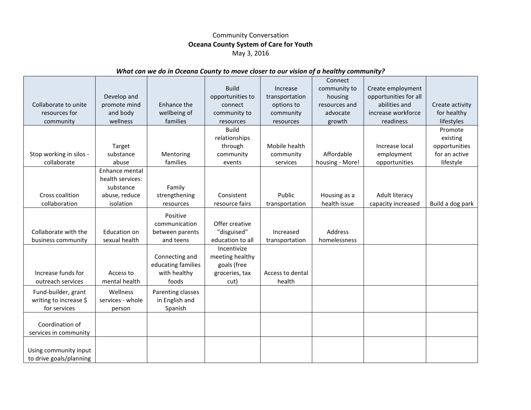## Community Conversation **Oceana County System of Care for Youth** May 3, 2016

## *What can we do in Oceana County to move closer to our vision of a healthy community?*

|                         |                     |                    |                  |                  | Connect         |                       |                  |
|-------------------------|---------------------|--------------------|------------------|------------------|-----------------|-----------------------|------------------|
|                         |                     |                    | <b>Build</b>     | Increase         | community to    | Create employment     |                  |
|                         | Develop and         |                    | opportunities to | transportation   | housing         | opportunities for all |                  |
| Collaborate to unite    | promote mind        | Enhance the        | connect          | options to       | resources and   | abilities and         | Create activity  |
| resources for           | and body            | wellbeing of       | community to     | community        | advocate        | increase workforce    | for healthy      |
| community               | wellness            | families           | resources        | resources        | growth          | readiness             | lifestyles       |
|                         |                     |                    | <b>Build</b>     |                  |                 |                       | Promote          |
|                         |                     |                    | relationships    |                  |                 |                       | existing         |
|                         | Target              |                    | through          | Mobile health    |                 | Increase local        | opportunities    |
| Stop working in silos - | substance           | Mentoring          | community        | community        | Affordable      | employment            | for an active    |
| collaborate             | abuse               | families           | events           | services         | housing - More! | opportunities         | lifestyle        |
|                         | Enhance mental      |                    |                  |                  |                 |                       |                  |
|                         | health services:    |                    |                  |                  |                 |                       |                  |
|                         | substance           | Family             |                  |                  |                 |                       |                  |
| Cross coalition         | abuse, reduce       | strengthening      | Consistent       | Public           | Housing as a    | Adult literacy        |                  |
| collaboration           | isolation           | resources          | resource fairs   | transportation   | health issue    | capacity increased    | Build a dog park |
|                         |                     | Positive           |                  |                  |                 |                       |                  |
|                         |                     | communication      | Offer creative   |                  |                 |                       |                  |
| Collaborate with the    | <b>Education on</b> | between parents    | "disguised"      | Increased        | Address         |                       |                  |
| business community      | sexual health       | and teens          | education to all | transportation   | homelessness    |                       |                  |
|                         |                     |                    | Incentivize      |                  |                 |                       |                  |
|                         |                     | Connecting and     | meeting healthy  |                  |                 |                       |                  |
|                         |                     | educating families | goals (free      |                  |                 |                       |                  |
| Increase funds for      | Access to           | with healthy       | groceries, tax   | Access to dental |                 |                       |                  |
| outreach services       | mental health       | foods              | cut)             | health           |                 |                       |                  |
| Fund-builder, grant     | Wellness            | Parenting classes  |                  |                  |                 |                       |                  |
| writing to increase \$  | services - whole    | in English and     |                  |                  |                 |                       |                  |
| for services            | person              | Spanish            |                  |                  |                 |                       |                  |
|                         |                     |                    |                  |                  |                 |                       |                  |
| Coordination of         |                     |                    |                  |                  |                 |                       |                  |
| services in community   |                     |                    |                  |                  |                 |                       |                  |
|                         |                     |                    |                  |                  |                 |                       |                  |
| Using community input   |                     |                    |                  |                  |                 |                       |                  |
| to drive goals/planning |                     |                    |                  |                  |                 |                       |                  |